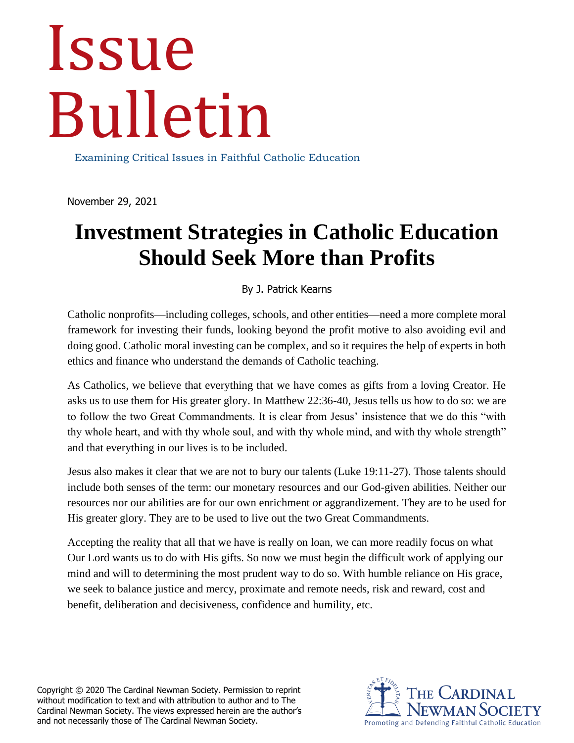# Issue Bulletin

Examining Critical Issues in Faithful Catholic Education

November 29, 2021

## **Investment Strategies in Catholic Education Should Seek More than Profits**

#### By J. Patrick Kearns

Catholic nonprofits—including colleges, schools, and other entities—need a more complete moral framework for investing their funds, looking beyond the profit motive to also avoiding evil and doing good. Catholic moral investing can be complex, and so it requires the help of experts in both ethics and finance who understand the demands of Catholic teaching.

As Catholics, we believe that everything that we have comes as gifts from a loving Creator. He asks us to use them for His greater glory. In Matthew 22:36-40, Jesus tells us how to do so: we are to follow the two Great Commandments. It is clear from Jesus' insistence that we do this "with thy whole heart, and with thy whole soul, and with thy whole mind, and with thy whole strength" and that everything in our lives is to be included.

Jesus also makes it clear that we are not to bury our talents (Luke 19:11-27). Those talents should include both senses of the term: our monetary resources and our God-given abilities. Neither our resources nor our abilities are for our own enrichment or aggrandizement. They are to be used for His greater glory. They are to be used to live out the two Great Commandments.

Accepting the reality that all that we have is really on loan, we can more readily focus on what Our Lord wants us to do with His gifts. So now we must begin the difficult work of applying our mind and will to determining the most prudent way to do so. With humble reliance on His grace, we seek to balance justice and mercy, proximate and remote needs, risk and reward, cost and benefit, deliberation and decisiveness, confidence and humility, etc.

Copyright © 2020 The Cardinal Newman Society. Permission to reprint without modification to text and with attribution to author and to The Cardinal Newman Society. The views expressed herein are the author's and not necessarily those of The Cardinal Newman Society.

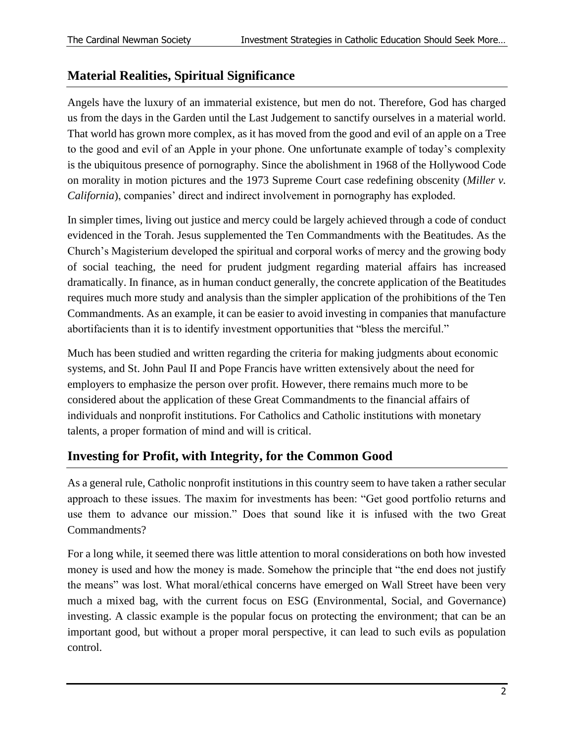#### **Material Realities, Spiritual Significance**

Angels have the luxury of an immaterial existence, but men do not. Therefore, God has charged us from the days in the Garden until the Last Judgement to sanctify ourselves in a material world. That world has grown more complex, as it has moved from the good and evil of an apple on a Tree to the good and evil of an Apple in your phone. One unfortunate example of today's complexity is the ubiquitous presence of pornography. Since the abolishment in 1968 of the Hollywood Code on morality in motion pictures and the 1973 Supreme Court case redefining obscenity (*Miller v. California*), companies' direct and indirect involvement in pornography has exploded.

In simpler times, living out justice and mercy could be largely achieved through a code of conduct evidenced in the Torah. Jesus supplemented the Ten Commandments with the Beatitudes. As the Church's Magisterium developed the spiritual and corporal works of mercy and the growing body of social teaching, the need for prudent judgment regarding material affairs has increased dramatically. In finance, as in human conduct generally, the concrete application of the Beatitudes requires much more study and analysis than the simpler application of the prohibitions of the Ten Commandments. As an example, it can be easier to avoid investing in companies that manufacture abortifacients than it is to identify investment opportunities that "bless the merciful."

Much has been studied and written regarding the criteria for making judgments about economic systems, and St. John Paul II and Pope Francis have written extensively about the need for employers to emphasize the person over profit. However, there remains much more to be considered about the application of these Great Commandments to the financial affairs of individuals and nonprofit institutions. For Catholics and Catholic institutions with monetary talents, a proper formation of mind and will is critical.

#### **Investing for Profit, with Integrity, for the Common Good**

As a general rule, Catholic nonprofit institutions in this country seem to have taken a rather secular approach to these issues. The maxim for investments has been: "Get good portfolio returns and use them to advance our mission." Does that sound like it is infused with the two Great Commandments?

For a long while, it seemed there was little attention to moral considerations on both how invested money is used and how the money is made. Somehow the principle that "the end does not justify the means" was lost. What moral/ethical concerns have emerged on Wall Street have been very much a mixed bag, with the current focus on ESG (Environmental, Social, and Governance) investing. A classic example is the popular focus on protecting the environment; that can be an important good, but without a proper moral perspective, it can lead to such evils as population control.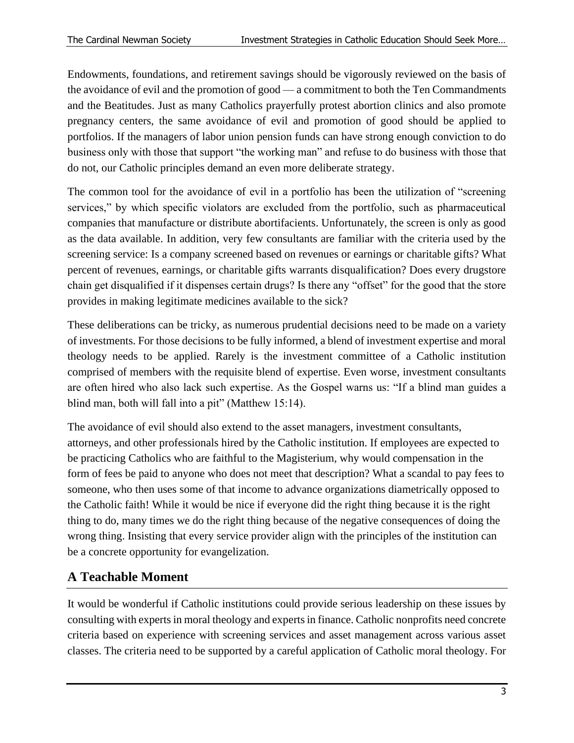Endowments, foundations, and retirement savings should be vigorously reviewed on the basis of the avoidance of evil and the promotion of good — a commitment to both the Ten Commandments and the Beatitudes. Just as many Catholics prayerfully protest abortion clinics and also promote pregnancy centers, the same avoidance of evil and promotion of good should be applied to portfolios. If the managers of labor union pension funds can have strong enough conviction to do business only with those that support "the working man" and refuse to do business with those that do not, our Catholic principles demand an even more deliberate strategy.

The common tool for the avoidance of evil in a portfolio has been the utilization of "screening services," by which specific violators are excluded from the portfolio, such as pharmaceutical companies that manufacture or distribute abortifacients. Unfortunately, the screen is only as good as the data available. In addition, very few consultants are familiar with the criteria used by the screening service: Is a company screened based on revenues or earnings or charitable gifts? What percent of revenues, earnings, or charitable gifts warrants disqualification? Does every drugstore chain get disqualified if it dispenses certain drugs? Is there any "offset" for the good that the store provides in making legitimate medicines available to the sick?

These deliberations can be tricky, as numerous prudential decisions need to be made on a variety of investments. For those decisions to be fully informed, a blend of investment expertise and moral theology needs to be applied. Rarely is the investment committee of a Catholic institution comprised of members with the requisite blend of expertise. Even worse, investment consultants are often hired who also lack such expertise. As the Gospel warns us: "If a blind man guides a blind man, both will fall into a pit" (Matthew 15:14).

The avoidance of evil should also extend to the asset managers, investment consultants, attorneys, and other professionals hired by the Catholic institution. If employees are expected to be practicing Catholics who are faithful to the Magisterium, why would compensation in the form of fees be paid to anyone who does not meet that description? What a scandal to pay fees to someone, who then uses some of that income to advance organizations diametrically opposed to the Catholic faith! While it would be nice if everyone did the right thing because it is the right thing to do, many times we do the right thing because of the negative consequences of doing the wrong thing. Insisting that every service provider align with the principles of the institution can be a concrete opportunity for evangelization.

### **A Teachable Moment**

It would be wonderful if Catholic institutions could provide serious leadership on these issues by consulting with experts in moral theology and experts in finance. Catholic nonprofits need concrete criteria based on experience with screening services and asset management across various asset classes. The criteria need to be supported by a careful application of Catholic moral theology. For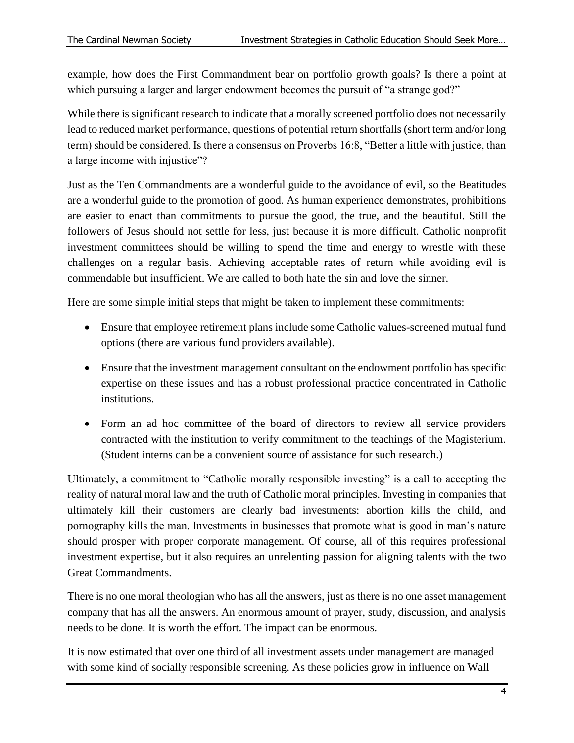example, how does the First Commandment bear on portfolio growth goals? Is there a point at which pursuing a larger and larger endowment becomes the pursuit of "a strange god?"

While there is significant research to indicate that a morally screened portfolio does not necessarily lead to reduced market performance, questions of potential return shortfalls (short term and/or long term) should be considered. Is there a consensus on Proverbs 16:8, "Better a little with justice, than a large income with injustice"?

Just as the Ten Commandments are a wonderful guide to the avoidance of evil, so the Beatitudes are a wonderful guide to the promotion of good. As human experience demonstrates, prohibitions are easier to enact than commitments to pursue the good, the true, and the beautiful. Still the followers of Jesus should not settle for less, just because it is more difficult. Catholic nonprofit investment committees should be willing to spend the time and energy to wrestle with these challenges on a regular basis. Achieving acceptable rates of return while avoiding evil is commendable but insufficient. We are called to both hate the sin and love the sinner.

Here are some simple initial steps that might be taken to implement these commitments:

- Ensure that employee retirement plans include some Catholic values-screened mutual fund options (there are various fund providers available).
- Ensure that the investment management consultant on the endowment portfolio has specific expertise on these issues and has a robust professional practice concentrated in Catholic institutions.
- Form an ad hoc committee of the board of directors to review all service providers contracted with the institution to verify commitment to the teachings of the Magisterium. (Student interns can be a convenient source of assistance for such research.)

Ultimately, a commitment to "Catholic morally responsible investing" is a call to accepting the reality of natural moral law and the truth of Catholic moral principles. Investing in companies that ultimately kill their customers are clearly bad investments: abortion kills the child, and pornography kills the man. Investments in businesses that promote what is good in man's nature should prosper with proper corporate management. Of course, all of this requires professional investment expertise, but it also requires an unrelenting passion for aligning talents with the two Great Commandments.

There is no one moral theologian who has all the answers, just as there is no one asset management company that has all the answers. An enormous amount of prayer, study, discussion, and analysis needs to be done. It is worth the effort. The impact can be enormous.

It is now estimated that over one third of all investment assets under management are managed with some kind of socially responsible screening. As these policies grow in influence on Wall